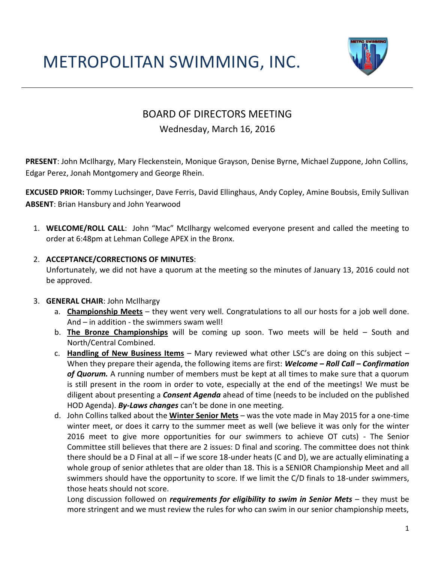# METROPOLITAN SWIMMING, INC.



# BOARD OF DIRECTORS MEETING

## Wednesday, March 16, 2016

**PRESENT**: John McIlhargy, Mary Fleckenstein, Monique Grayson, Denise Byrne, Michael Zuppone, John Collins, Edgar Perez, Jonah Montgomery and George Rhein.

**EXCUSED PRIOR:** Tommy Luchsinger, Dave Ferris, David Ellinghaus, Andy Copley, Amine Boubsis, Emily Sullivan **ABSENT**: Brian Hansbury and John Yearwood

1. **WELCOME/ROLL CALL**: John "Mac" McIlhargy welcomed everyone present and called the meeting to order at 6:48pm at Lehman College APEX in the Bronx.

## 2. **ACCEPTANCE/CORRECTIONS OF MINUTES**:

Unfortunately, we did not have a quorum at the meeting so the minutes of January 13, 2016 could not be approved.

#### 3. **GENERAL CHAIR**: John McIlhargy

- a. **Championship Meets** they went very well. Congratulations to all our hosts for a job well done. And – in addition - the swimmers swam well!
- b. **The Bronze Championships** will be coming up soon. Two meets will be held South and North/Central Combined.
- c. **Handling of New Business Items** Mary reviewed what other LSC's are doing on this subject When they prepare their agenda, the following items are first: *Welcome – Roll Call – Confirmation of Quorum.* A running number of members must be kept at all times to make sure that a quorum is still present in the room in order to vote, especially at the end of the meetings! We must be diligent about presenting a *Consent Agenda* ahead of time (needs to be included on the published HOD Agenda). *By-Laws changes* can't be done in one meeting.
- d. John Collins talked about the **Winter Senior Mets** was the vote made in May 2015 for a one-time winter meet, or does it carry to the summer meet as well (we believe it was only for the winter 2016 meet to give more opportunities for our swimmers to achieve OT cuts) - The Senior Committee still believes that there are 2 issues: D final and scoring. The committee does not think there should be a D Final at all – if we score 18-under heats (C and D), we are actually eliminating a whole group of senior athletes that are older than 18. This is a SENIOR Championship Meet and all swimmers should have the opportunity to score. If we limit the C/D finals to 18-under swimmers, those heats should not score.

Long discussion followed on *requirements for eligibility to swim in Senior Mets* – they must be more stringent and we must review the rules for who can swim in our senior championship meets,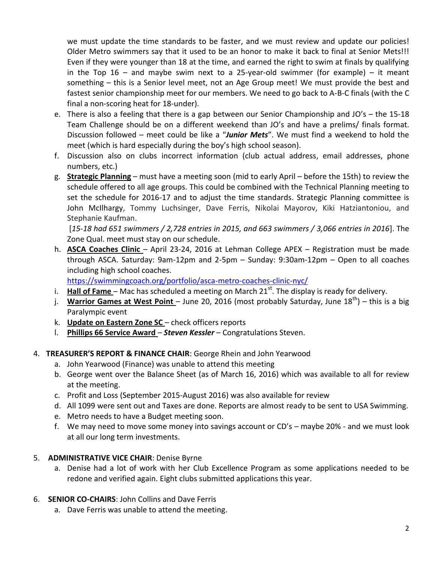we must update the time standards to be faster, and we must review and update our policies! Older Metro swimmers say that it used to be an honor to make it back to final at Senior Mets!!! Even if they were younger than 18 at the time, and earned the right to swim at finals by qualifying in the Top  $16$  – and maybe swim next to a 25-year-old swimmer (for example) – it meant something – this is a Senior level meet, not an Age Group meet! We must provide the best and fastest senior championship meet for our members. We need to go back to A-B-C finals (with the C final a non-scoring heat for 18-under).

- e. There is also a feeling that there is a gap between our Senior Championship and JO's the 15-18 Team Challenge should be on a different weekend than JO's and have a prelims/ finals format. Discussion followed – meet could be like a "*Junior Mets*". We must find a weekend to hold the meet (which is hard especially during the boy's high school season).
- f. Discussion also on clubs incorrect information (club actual address, email addresses, phone numbers, etc.)
- g. **Strategic Planning** must have a meeting soon (mid to early April before the 15th) to review the schedule offered to all age groups. This could be combined with the Technical Planning meeting to set the schedule for 2016-17 and to adjust the time standards. Strategic Planning committee is John McIlhargy, Tommy Luchsinger, Dave Ferris, Nikolai Mayorov, Kiki Hatziantoniou, and Stephanie Kaufman.

[*15-18 had 651 swimmers / 2,728 entries in 2015, and 663 swimmers / 3,066 entries in 2016*]. The Zone Qual. meet must stay on our schedule.

h. **ASCA Coaches Clinic** – April 23-24, 2016 at Lehman College APEX – Registration must be made through ASCA. Saturday: 9am-12pm and 2-5pm – Sunday: 9:30am-12pm – Open to all coaches including high school coaches.

<https://swimmingcoach.org/portfolio/asca-metro-coaches-clinic-nyc/>

- i. **Hall of Fame** Mac has scheduled a meeting on March 21<sup>st</sup>. The display is ready for delivery.
- j. **Warrior Games at West Point** June 20, 2016 (most probably Saturday, June 18<sup>th</sup>) this is a big Paralympic event
- k. **Update on Eastern Zone SC**  check officers reports
- l. **Phillips 66 Service Award**  *Steven Kessler* Congratulations Steven.

## 4. **TREASURER'S REPORT & FINANCE CHAIR**: George Rhein and John Yearwood

- a. John Yearwood (Finance) was unable to attend this meeting
- b. George went over the Balance Sheet (as of March 16, 2016) which was available to all for review at the meeting.
- c. Profit and Loss (September 2015-August 2016) was also available for review
- d. All 1099 were sent out and Taxes are done. Reports are almost ready to be sent to USA Swimming.
- e. Metro needs to have a Budget meeting soon.
- f. We may need to move some money into savings account or CD's maybe 20% and we must look at all our long term investments.

## 5. **ADMINISTRATIVE VICE CHAIR**: Denise Byrne

a. Denise had a lot of work with her Club Excellence Program as some applications needed to be redone and verified again. Eight clubs submitted applications this year.

## 6. **SENIOR CO-CHAIRS**: John Collins and Dave Ferris

a. Dave Ferris was unable to attend the meeting.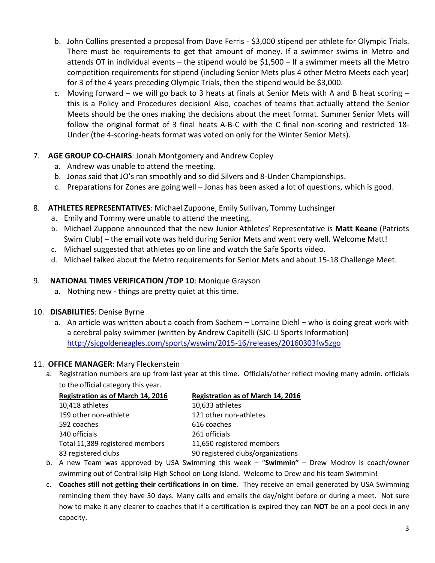- b. John Collins presented a proposal from Dave Ferris \$3,000 stipend per athlete for Olympic Trials. There must be requirements to get that amount of money. If a swimmer swims in Metro and attends OT in individual events – the stipend would be \$1,500 – If a swimmer meets all the Metro competition requirements for stipend (including Senior Mets plus 4 other Metro Meets each year) for 3 of the 4 years preceding Olympic Trials, then the stipend would be \$3,000.
- c. Moving forward we will go back to 3 heats at finals at Senior Mets with A and B heat scoring this is a Policy and Procedures decision! Also, coaches of teams that actually attend the Senior Meets should be the ones making the decisions about the meet format. Summer Senior Mets will follow the original format of 3 final heats A-B-C with the C final non-scoring and restricted 18- Under (the 4-scoring-heats format was voted on only for the Winter Senior Mets).

#### 7. **AGE GROUP CO-CHAIRS**: Jonah Montgomery and Andrew Copley

- a. Andrew was unable to attend the meeting.
- b. Jonas said that JO's ran smoothly and so did Silvers and 8-Under Championships.
- c. Preparations for Zones are going well Jonas has been asked a lot of questions, which is good.

## 8. **ATHLETES REPRESENTATIVES**: Michael Zuppone, Emily Sullivan, Tommy Luchsinger

- a. Emily and Tommy were unable to attend the meeting.
- b. Michael Zuppone announced that the new Junior Athletes' Representative is **Matt Keane** (Patriots Swim Club) – the email vote was held during Senior Mets and went very well. Welcome Matt!
- c. Michael suggested that athletes go on line and watch the Safe Sports video.
- d. Michael talked about the Metro requirements for Senior Mets and about 15-18 Challenge Meet.

#### 9. **NATIONAL TIMES VERIFICATION /TOP 10**: Monique Grayson

a. Nothing new - things are pretty quiet at this time.

#### 10. **DISABILITIES**: Denise Byrne

a. An article was written about a coach from Sachem – Lorraine Diehl – who is doing great work with a cerebral palsy swimmer (written by Andrew Capitelli (SJC-LI Sports Information) <http://sjcgoldeneagles.com/sports/wswim/2015-16/releases/20160303fw5zgo>

#### 11. **OFFICE MANAGER**: Mary Fleckenstein

a. Registration numbers are up from last year at this time. Officials/other reflect moving many admin. officials to the official category this year.

| <b>Registration as of March 14, 2016</b> | <b>Registration as of March 14, 2016</b> |
|------------------------------------------|------------------------------------------|
| 10,418 athletes                          | 10,633 athletes                          |
| 159 other non-athlete                    | 121 other non-athletes                   |
| 592 coaches                              | 616 coaches                              |
| 340 officials                            | 261 officials                            |
| Total 11,389 registered members          | 11,650 registered members                |
| 83 registered clubs                      | 90 registered clubs/organizations        |

- b. A new Team was approved by USA Swimming this week "**Swimmin"** Drew Modrov is coach/owner swimming out of Central Islip High School on Long Island. Welcome to Drew and his team Swimmin!
- c. **Coaches still not getting their certifications in on time**. They receive an email generated by USA Swimming reminding them they have 30 days. Many calls and emails the day/night before or during a meet. Not sure how to make it any clearer to coaches that if a certification is expired they can **NOT** be on a pool deck in any capacity.